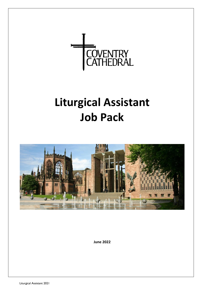

# **Liturgical Assistant Job Pack**



**June 2022**

Liturgical Assistant 2021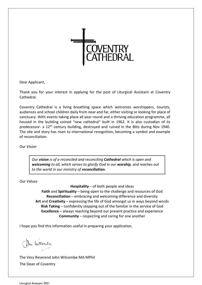

Dear Applicant,

Thank you for your interest in applying for the post of Liturgical Assistant at Coventry Cathedral.

Coventry Cathedral is a living breathing space which welcomes worshippers, tourists, audiences and school children daily from near and far, either visiting or looking for place of sanctuary. With events taking place all year round and a thriving education programme, all housed in the building coined "new cathedral" built in 1962. It is also custodian of its predecessor- a 12<sup>th</sup> century building, destroyed and ruined in the Blitz during Nov 1940. The site and story has risen to international recognition, becoming a symbol and example of reconciliation.

*Our Vision*

*Our vision is of a reconciled and reconciling Cathedral which is open and welcoming to all, which serves to glorify God in our worship, and reaches out to the world in our ministry of reconciliation.*

*Our Values*

**Hospitality** – of both people and ideas

**Faith** and **Spirituality** – being open to the challenge and resources of God **Reconciliation** – embracing and welcoming difference and diversity **Art** and **Creativity** – expressing the life of God amongst us in ways beyond words **Risk Taking** – confidently stepping out of the familiar in the service of God **Excellence** – always reaching beyond our present practice and experience **Community** – respecting and caring for one another

I hope you find this information useful in preparing your application.

On Intronly

The Very Reverend John Witcombe MA MPhil The Dean of Coventry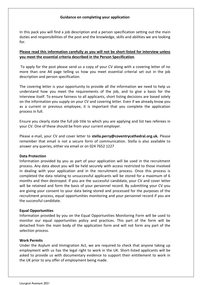#### **Guidance on completing your application**

In this pack you will find a job description and a person specification setting out the main duties and responsibilities of the post and the knowledge, skills and abilities we are looking for.

# **Please read this information carefully as you will not be short-listed for interview unless you meet the essential criteria described in the Person Specification**.

To apply for the post please send us a copy of your CV along with a covering letter of no more than one A4 page telling us how you meet essential criterial set out in the job description and person specification.

The covering letter is your opportunity to provide all the information we need to help us understand how you meet the requirements of the job, and to give a basis for the interview itself. To ensure fairness to all applicants, short listing decisions are based solely on the information you supply on your CV and covering letter. Even if we already know you as a current or previous employee, it is important that you complete the application process in full.

Ensure you clearly state the full job title to which you are applying and list two referees in your CV. One of these should be from your current employer.

Please e-mail, your CV and cover letter to **stella.perry@coventrycathedral.org.uk.** Please remember that email is not a secure form of communication. Stella is also available to answer any queries, either via email or on 024 7652 1227

#### **Data Protection**

Information provided by you as part of your application will be used in the recruitment process. Any data about you will be held securely with access restricted to those involved in dealing with your application and in the recruitment process. Once this process is completed the data relating to unsuccessful applicants will be stored for a maximum of 6 months and then destroyed. If you are the successful candidate, your CV and cover letter will be retained and form the basis of your personnel record. By submitting your CV you are giving your consent to your data being stored and processed for the purposes of the recruitment process, equal opportunities monitoring and your personnel record if you are the successful candidate.

#### **Equal Opportunities**

Information provided by you on the Equal Opportunities Monitoring Form will be used to monitor our equal opportunities policy and practices. This part of the form will be detached from the main body of the application form and will not form any part of the selection process.

#### **Work Permits**

Under the Asylum and Immigration Act, we are required to check that anyone taking up employment with us has the legal right to work in the UK. Short-listed applicants will be asked to provide us with documentary evidence to support their entitlement to work in the UK prior to any offer of employment being made.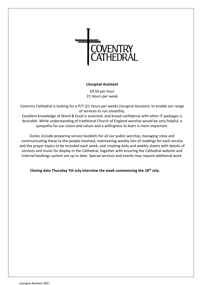

## *Liturgical Assistant*

£9.50 per hour 21 Hours per week

Coventry Cathedral is looking for a P/T (21 hours per week) Liturgical Assistant, to enable our range of services to run smoothly.

Excellent knowledge of Word & Excel is essential, and broad confidence with other IT packages is desirable. While understanding of traditional Church of England worship would be very helpful, a sympathy for our vision and values and a willingness to learn is more important.

Duties include preparing service booklets for all our public worship, managing rotas and communicating these to the people involved, maintaining weekly lists of readings for each service and the prayer topics to be included each week, and creating daily and weekly sheets with details of services and music for display in the Cathedral, together with ensuring the Cathedral website and internal bookings system are up to date. Special services and events may require additional work.

**Closing date Thursday 7th July interview the week commencing the 18th July.**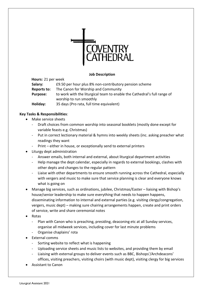

#### **Job Description**

**Hours:** 21 per week **Salary:** £9.50 per hour plus 8% non-contributory pension scheme **Reports to:** The Canon for Worship and Community **Purpose:** to work with the liturgical team to enable the Cathedral's full range of worship to run smoothly **Holiday:** 35 days (Pro rata, full time equivalent)

## **Key Tasks & Responsibilities**:

- Make service sheets
	- Draft choices from common worship into seasonal booklets (mostly done except for variable feasts e.g. Christmas)
	- Put in correct lectionary material & hymns into weekly sheets (inc. asking preacher what readings they want
	- Print either in house, or exceptionally send to external printers
- Liturgy dept administration
	- Answer emails, both internal and external, about liturgical department activities
	- Help manage the dept calendar, especially in regards to external bookings, clashes with other depts and changes to the regular pattern
	- Liaise with other departments to ensure smooth running across the Cathedral, especially with vergers and music to make sure that service planning is clear and everyone knows what is going on
- Manage big services, such as ordinations, jubilee, Christmas/Easter liaising with Bishop's house/senior leadership to make sure everything that needs to happen happens, disseminating information to internal and external parties (e.g. visiting clergy/congregation, vergers, music dept) – making sure chairing arrangements happen, create and print orders of service, write and share ceremonial notes
- Rotas
	- Plan with Canon who is preaching, presiding, deaconing etc at all Sunday services, organise all midweek services, including cover for last minute problems
	- Organise chaplains' rota
- External comms
	- Sorting website to reflect what is happening
	- Uploading service sheets and music lists to websites, and providing them by email
	- Liaising with external groups to deliver events such as BBC, Bishops'/Archdeacons' offices, visiting preachers, visiting choirs (with music dept), visiting clergy for big services
- Assistant to Canon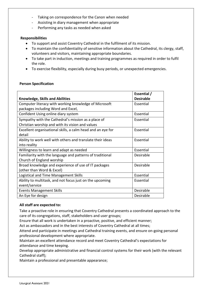- Taking on correspondence for the Canon when needed
- Assisting in diary management when appropriate
- Performing any tasks as needed when asked

# **Responsibilities**

- To support and assist Coventry Cathedral in the fulfilment of its mission.
- To maintain the confidentiality of sensitive information about the Cathedral, its clergy, staff, volunteers and visitors, maintaining appropriate boundaries.
- To take part in induction, meetings and training programmes as required in order to fulfil the role.
- To exercise flexibility, especially during busy periods, or unexpected emergencies.

## **Person Specification**

|                                                             | Essential /      |
|-------------------------------------------------------------|------------------|
| <b>Knowledge, Skills and Abilities</b>                      | <b>Desirable</b> |
| Computer literacy with working knowledge of Microsoft       | Essential        |
| packages including Word and Excel,                          |                  |
| Confident Using online diary system                         | Essential        |
| Sympathy with the Cathedral's mission as a place of         | Essential        |
| Christian worship and with its vision and values            |                  |
| Excellent organisational skills, a calm head and an eye for | Essential        |
| detail                                                      |                  |
| Ability to work well with others and translate their ideas  | Essential        |
| into reality                                                |                  |
| Willingness to learn and adapt as needed                    | Essential        |
| Familiarity with the language and patterns of traditional   | Desirable        |
| Church of England worship                                   |                  |
| Broad knowledge and experience of use of IT packages        | Desirable        |
| (other than Word & Excel)                                   |                  |
| Logistical and Time Management Skills                       | Essential        |
| Ability to multitask, and not focus just on the upcoming    | Essential        |
| event/service                                               |                  |
| <b>Events Management Skills</b>                             | Desirable        |
| An Eye for design                                           | Desirable        |

#### **All staff are expected to:**

Take a proactive role in ensuring that Coventry Cathedral presents a coordinated approach to the care of its congregations, staff, stakeholders and user groups;

Ensure that all work is undertaken in a proactive, positive, and efficient manner;

Act as ambassadors and in the best interests of Coventry Cathedral at all times;

Attend and participate in meetings and Cathedral training events, and ensure on-going personal professional development where appropriate.

Maintain an excellent attendance record and meet Coventry Cathedral's expectations for attendance and time keeping.

Develop appropriate administrative and financial control systems for their work (with the relevant Cathedral staff);

Maintain a professional and presentable appearance;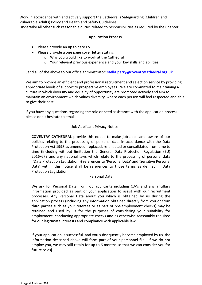Work in accordance with and actively support the Cathedral's Safeguarding (Children and Vulnerable Adults) Policy and Health and Safety Guidelines.

Undertake all other such reasonable duties related to responsibilities as required by the Chapter

## **Application Process**

- Please provide an up to date CV
- Please provide a one page cover letter stating:
	- o Why you would like to work at the Cathedral
	- o Your relevant previous experience and your key skills and abilities.

Send all of the above to our office administrator: **[stella.perry@coventrycathedral.org.uk](mailto:stella.perry@coventrycathedral.org.uk)**

We aim to provide an efficient and professional recruitment and selection service by providing appropriate levels of support to prospective employees. We are committed to maintaining a culture in which diversity and equality of opportunity are promoted actively and aim to maintain an environment which values diversity, where each person will feel respected and able to give their best.

If you have any questions regarding the role or need assistance with the application process please don't hesitate to email.

## Job Applicant Privacy Notice

**COVENTRY CATHEDRAL** provide this notice to make job applicants aware of our policies relating to the processing of personal data in accordance with the Data Protection Act 1998 as amended, replaced, re-enacted or consolidated from time to time (including without limitation the General Data Protection Regulation (EU) 2016/679 and any national laws which relate to the processing of personal data ('Data Protection Legislation')) references to 'Personal Data' and 'Sensitive Personal Data' within this notice shall be references to those terms as defined in Data Protection Legislation.

# Personal Data

We ask for Personal Data from job applicants including C.V's and any ancillary information provided as part of your application to assist with our recruitment processes. Any Personal Data about you which is obtained by us during the application process (including any information obtained directly from you or from third parties such as your referees or as part of pre-employment checks) may be retained and used by us for the purposes of considering your suitability for employment, conducting appropriate checks and as otherwise reasonably required for our legitimate interests and compliance with applicable law.

If your application is successful, and you subsequently become employed by us, the information described above will form part of your personnel file. [If we do not employ you, we may still retain for up to 6 months so that we can consider you for future roles].